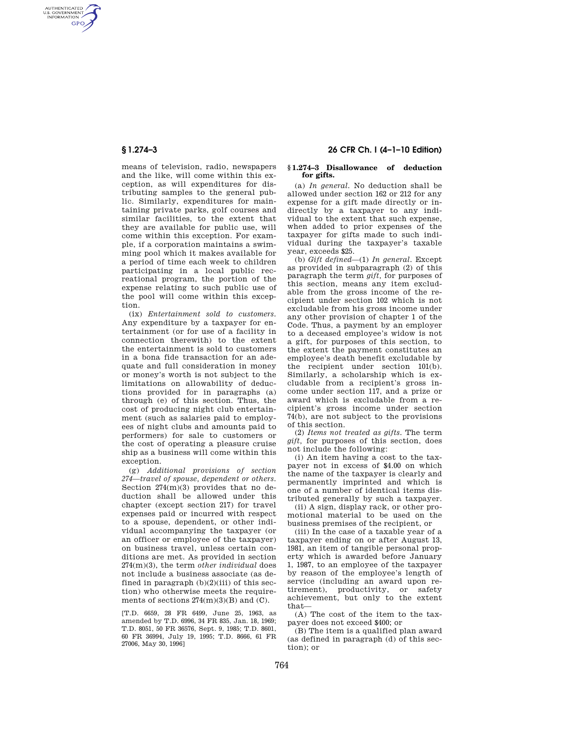AUTHENTICATED<br>U.S. GOVERNMENT<br>INFORMATION **GPO** 

> means of television, radio, newspapers and the like, will come within this exception, as will expenditures for distributing samples to the general public. Similarly, expenditures for maintaining private parks, golf courses and similar facilities, to the extent that they are available for public use, will come within this exception. For example, if a corporation maintains a swimming pool which it makes available for a period of time each week to children participating in a local public recreational program, the portion of the expense relating to such public use of the pool will come within this exception.

> (ix) *Entertainment sold to customers.*  Any expenditure by a taxpayer for entertainment (or for use of a facility in connection therewith) to the extent the entertainment is sold to customers in a bona fide transaction for an adequate and full consideration in money or money's worth is not subject to the limitations on allowability of deductions provided for in paragraphs (a) through (e) of this section. Thus, the cost of producing night club entertainment (such as salaries paid to employees of night clubs and amounts paid to performers) for sale to customers or the cost of operating a pleasure cruise ship as a business will come within this exception.

> (g) *Additional provisions of section 274—travel of spouse, dependent or others.*  Section 274(m)(3) provides that no deduction shall be allowed under this chapter (except section 217) for travel expenses paid or incurred with respect to a spouse, dependent, or other individual accompanying the taxpayer (or an officer or employee of the taxpayer) on business travel, unless certain conditions are met. As provided in section 274(m)(3), the term *other individual* does not include a business associate (as defined in paragraph  $(b)(2)(iii)$  of this section) who otherwise meets the requirements of sections  $274(m)(3)(B)$  and  $(C)$ .

[T.D. 6659, 28 FR 6499, June 25, 1963, as amended by T.D. 6996, 34 FR 835, Jan. 18, 1969; T.D. 8051, 50 FR 36576, Sept. 9, 1985; T.D. 8601, 60 FR 36994, July 19, 1995; T.D. 8666, 61 FR 27006, May 30, 1996]

# **§ 1.274–3 26 CFR Ch. I (4–1–10 Edition)**

#### **§ 1.274–3 Disallowance of deduction for gifts.**

(a) *In general.* No deduction shall be allowed under section 162 or 212 for any expense for a gift made directly or indirectly by a taxpayer to any individual to the extent that such expense, when added to prior expenses of the taxpayer for gifts made to such individual during the taxpayer's taxable year, exceeds \$25.

(b) *Gift defined*—(1) *In general.* Except as provided in subparagraph (2) of this paragraph the term *gift,* for purposes of this section, means any item excludable from the gross income of the recipient under section 102 which is not excludable from his gross income under any other provision of chapter 1 of the Code. Thus, a payment by an employer to a deceased employee's widow is not a gift, for purposes of this section, to the extent the payment constitutes an employee's death benefit excludable by the recipient under section 101(b). Similarly, a scholarship which is excludable from a recipient's gross income under section 117, and a prize or award which is excludable from a recipient's gross income under section 74(b), are not subject to the provisions of this section.

(2) *Items not treated as gifts.* The term *gift,* for purposes of this section, does not include the following:

(i) An item having a cost to the taxpayer not in excess of \$4.00 on which the name of the taxpayer is clearly and permanently imprinted and which is one of a number of identical items distributed generally by such a taxpayer.

(ii) A sign, display rack, or other promotional material to be used on the business premises of the recipient, or

(iii) In the case of a taxable year of a taxpayer ending on or after August 13, 1981, an item of tangible personal property which is awarded before January 1, 1987, to an employee of the taxpayer by reason of the employee's length of service (including an award upon retirement), productivity, or safety achievement, but only to the extent that—

(A) The cost of the item to the taxpayer does not exceed \$400; or

(B) The item is a qualified plan award (as defined in paragraph (d) of this section); or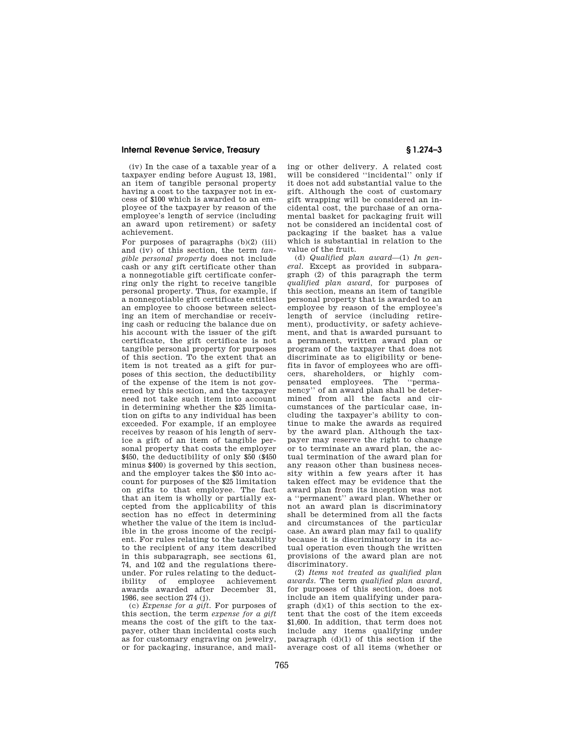### **Internal Revenue Service, Treasury § 1.274–3**

(iv) In the case of a taxable year of a taxpayer ending before August 13, 1981, an item of tangible personal property having a cost to the taxpayer not in excess of \$100 which is awarded to an employee of the taxpayer by reason of the employee's length of service (including an award upon retirement) or safety achievement.

For purposes of paragraphs  $(b)(2)$  (iii) and (iv) of this section, the term *tangible personal property* does not include cash or any gift certificate other than a nonnegotiable gift certificate conferring only the right to receive tangible personal property. Thus, for example, if a nonnegotiable gift certificate entitles an employee to choose between selecting an item of merchandise or receiving cash or reducing the balance due on his account with the issuer of the gift certificate, the gift certificate is not tangible personal property for purposes of this section. To the extent that an item is not treated as a gift for purposes of this section, the deductibility of the expense of the item is not governed by this section, and the taxpayer need not take such item into account in determining whether the \$25 limitation on gifts to any individual has been exceeded. For example, if an employee receives by reason of his length of service a gift of an item of tangible personal property that costs the employer \$450, the deductibility of only \$50 (\$450 minus \$400) is governed by this section, and the employer takes the \$50 into account for purposes of the \$25 limitation on gifts to that employee. The fact that an item is wholly or partially excepted from the applicability of this section has no effect in determining whether the value of the item is includible in the gross income of the recipient. For rules relating to the taxability to the recipient of any item described in this subparagraph, see sections 61, 74, and 102 and the regulations thereunder. For rules relating to the deductibility of employee achievement awards awarded after December 31, 1986, see section 274 (j).

(c) *Expense for a gift.* For purposes of this section, the term *expense for a gift*  means the cost of the gift to the taxpayer, other than incidental costs such as for customary engraving on jewelry, or for packaging, insurance, and mailing or other delivery. A related cost will be considered ''incidental'' only if it does not add substantial value to the gift. Although the cost of customary gift wrapping will be considered an incidental cost, the purchase of an ornamental basket for packaging fruit will not be considered an incidental cost of packaging if the basket has a value which is substantial in relation to the value of the fruit.

(d) *Qualified plan award*—(1) *In general.* Except as provided in subparagraph (2) of this paragraph the term *qualified plan award,* for purposes of this section, means an item of tangible personal property that is awarded to an employee by reason of the employee's length of service (including retirement), productivity, or safety achievement, and that is awarded pursuant to a permanent, written award plan or program of the taxpayer that does not discriminate as to eligibility or benefits in favor of employees who are officers, shareholders, or highly compensated employees. The ''permanency'' of an award plan shall be determined from all the facts and circumstances of the particular case, including the taxpayer's ability to continue to make the awards as required by the award plan. Although the taxpayer may reserve the right to change or to terminate an award plan, the actual termination of the award plan for any reason other than business necessity within a few years after it has taken effect may be evidence that the award plan from its inception was not a ''permanent'' award plan. Whether or not an award plan is discriminatory shall be determined from all the facts and circumstances of the particular case. An award plan may fail to qualify because it is discriminatory in its actual operation even though the written provisions of the award plan are not discriminatory.

(2) *Items not treated as qualified plan awards.* The term *qualified plan award,*  for purposes of this section, does not include an item qualifying under paragraph (d)(1) of this section to the extent that the cost of the item exceeds \$1,600. In addition, that term does not include any items qualifying under paragraph (d)(1) of this section if the average cost of all items (whether or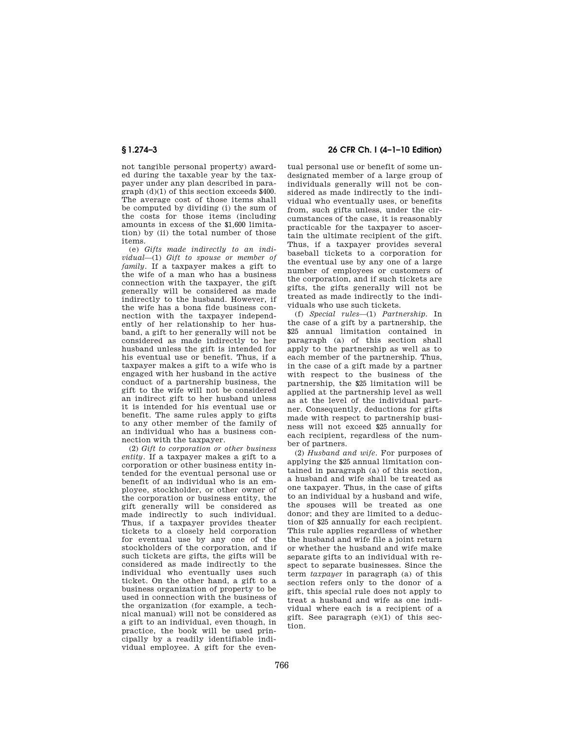not tangible personal property) awarded during the taxable year by the taxpayer under any plan described in paragraph (d)(1) of this section exceeds \$400. The average cost of those items shall be computed by dividing (i) the sum of the costs for those items (including amounts in excess of the \$1,600 limitation) by (ii) the total number of those items.

(e) *Gifts made indirectly to an individual*—(1) *Gift to spouse or member of family.* If a taxpayer makes a gift to the wife of a man who has a business connection with the taxpayer, the gift generally will be considered as made indirectly to the husband. However, if the wife has a bona fide business connection with the taxpayer independently of her relationship to her husband, a gift to her generally will not be considered as made indirectly to her husband unless the gift is intended for his eventual use or benefit. Thus, if a taxpayer makes a gift to a wife who is engaged with her husband in the active conduct of a partnership business, the gift to the wife will not be considered an indirect gift to her husband unless it is intended for his eventual use or benefit. The same rules apply to gifts to any other member of the family of an individual who has a business connection with the taxpayer.

(2) *Gift to corporation or other business entity.* If a taxpayer makes a gift to a corporation or other business entity intended for the eventual personal use or benefit of an individual who is an employee, stockholder, or other owner of the corporation or business entity, the gift generally will be considered as made indirectly to such individual. Thus, if a taxpayer provides theater tickets to a closely held corporation for eventual use by any one of the stockholders of the corporation, and if such tickets are gifts, the gifts will be considered as made indirectly to the individual who eventually uses such ticket. On the other hand, a gift to a business organization of property to be used in connection with the business of the organization (for example, a technical manual) will not be considered as a gift to an individual, even though, in practice, the book will be used principally by a readily identifiable individual employee. A gift for the even-

# **§ 1.274–3 26 CFR Ch. I (4–1–10 Edition)**

tual personal use or benefit of some undesignated member of a large group of individuals generally will not be considered as made indirectly to the individual who eventually uses, or benefits from, such gifts unless, under the circumstances of the case, it is reasonably practicable for the taxpayer to ascertain the ultimate recipient of the gift. Thus, if a taxpayer provides several baseball tickets to a corporation for the eventual use by any one of a large number of employees or customers of the corporation, and if such tickets are gifts, the gifts generally will not be treated as made indirectly to the individuals who use such tickets.

(f) *Special rules*—(1) *Partnership.* In the case of a gift by a partnership, the \$25 annual limitation contained in paragraph (a) of this section shall apply to the partnership as well as to each member of the partnership. Thus, in the case of a gift made by a partner with respect to the business of the partnership, the \$25 limitation will be applied at the partnership level as well as at the level of the individual partner. Consequently, deductions for gifts made with respect to partnership business will not exceed \$25 annually for each recipient, regardless of the number of partners.

(2) *Husband and wife.* For purposes of applying the \$25 annual limitation contained in paragraph (a) of this section, a husband and wife shall be treated as one taxpayer. Thus, in the case of gifts to an individual by a husband and wife, the spouses will be treated as one donor; and they are limited to a deduction of \$25 annually for each recipient. This rule applies regardless of whether the husband and wife file a joint return or whether the husband and wife make separate gifts to an individual with respect to separate businesses. Since the term *taxpayer* in paragraph (a) of this section refers only to the donor of a gift, this special rule does not apply to treat a husband and wife as one individual where each is a recipient of a gift. See paragraph  $(e)(1)$  of this section.